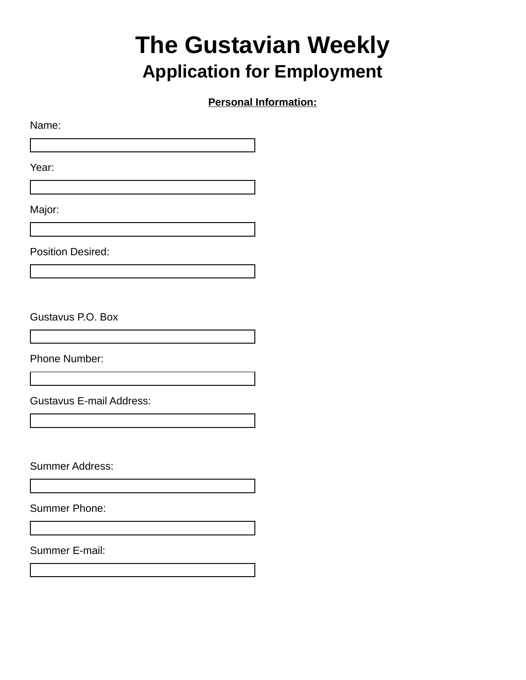# **The Gustavian Weekly Application for Employment**

**Personal Information:**

Name:

Year:

Major:

Position Desired:

Gustavus P.O. Box

Phone Number:

Gustavus E-mail Address:

Summer Address:

Summer Phone:

Summer E-mail: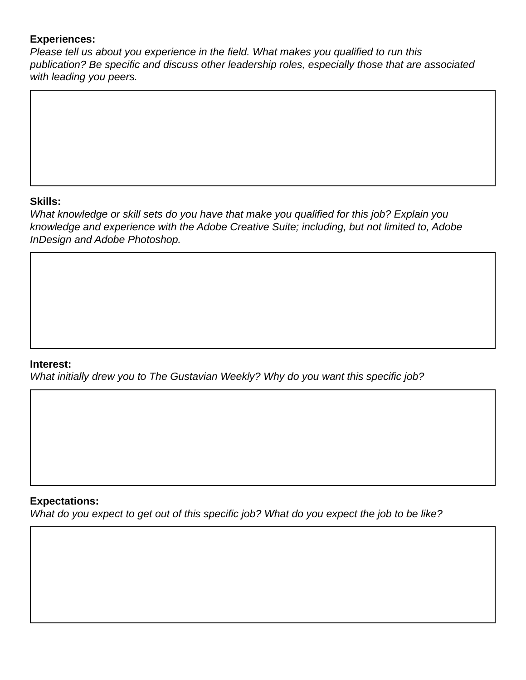## **Experiences:**

*Please tell us about you experience in the field. What makes you qualified to run this publication? Be specific and discuss other leadership roles, especially those that are associated with leading you peers.*

## **Skills:**

*What knowledge or skill sets do you have that make you qualified for this job? Explain you knowledge and experience with the Adobe Creative Suite; including, but not limited to, Adobe InDesign and Adobe Photoshop.*

### **Interest:**

*What initially drew you to The Gustavian Weekly? Why do you want this specific job?*

#### **Expectations:**

*What do you expect to get out of this specific job? What do you expect the job to be like?*